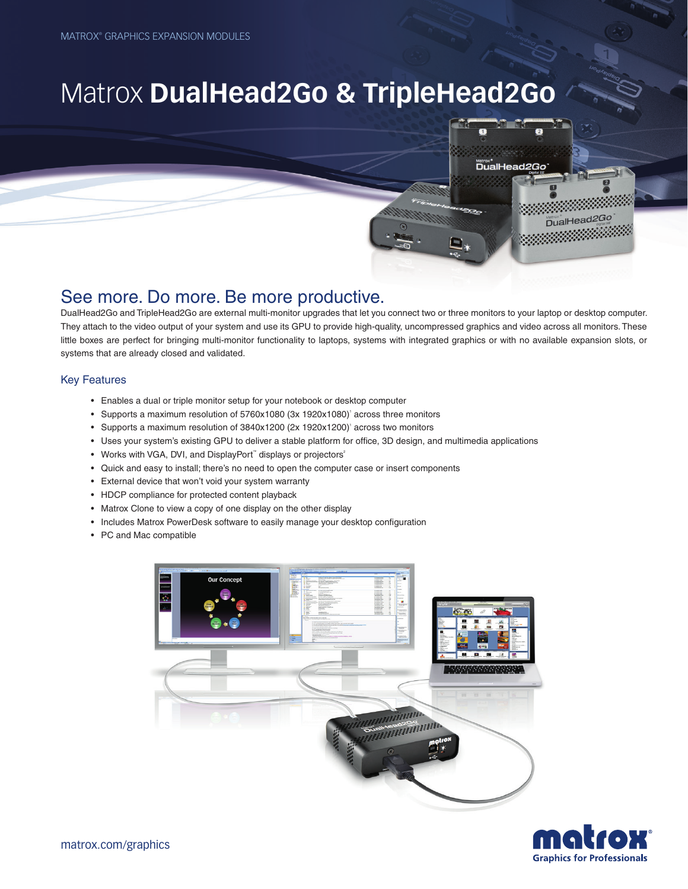# Matrox **DualHead2Go & TripleHead2Go**



DualHead2Go and TripleHead2Go are external multi-monitor upgrades that let you connect two or three monitors to your laptop or desktop computer. They attach to the video output of your system and use its GPU to provide high-quality, uncompressed graphics and video across all monitors. These little boxes are perfect for bringing multi-monitor functionality to laptops, systems with integrated graphics or with no available expansion slots, or systems that are already closed and validated.

www.<br>DualHead*2Gc* 

DualHead2Go

#### Key Features

- Enables a dual or triple monitor setup for your notebook or desktop computer
- Supports a maximum resolution of 5760x1080 (3x 1920x1080) across three monitors
- Supports a maximum resolution of 3840x1200 (2x 1920x1200)' across two monitors
- Uses your system's existing GPU to deliver a stable platform for office, 3D design, and multimedia applications
- Works with VGA, DVI, and DisplayPort<sup>™</sup> displays or projectors<sup>2</sup>
- Quick and easy to install; there's no need to open the computer case or insert components
- External device that won't void your system warranty
- HDCP compliance for protected content playback
- Matrox Clone to view a copy of one display on the other display
- Includes Matrox PowerDesk software to easily manage your desktop configuration
- PC and Mac compatible